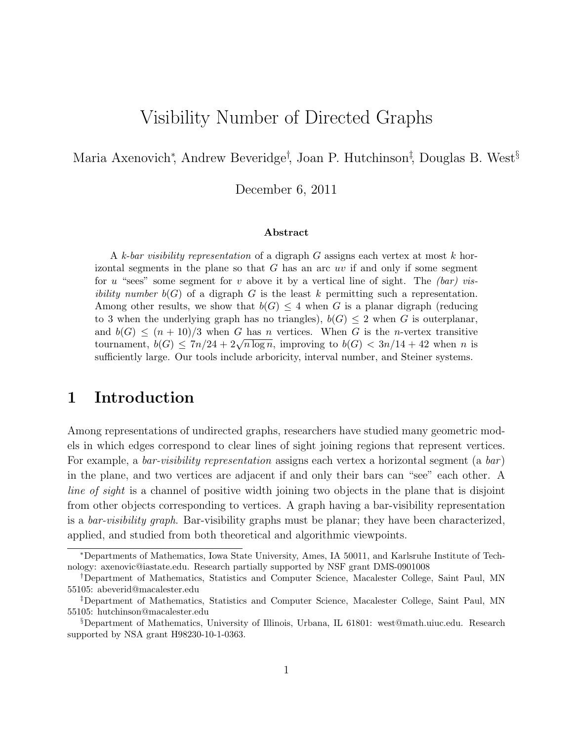# Visibility Number of Directed Graphs

Maria Axenovich<sup>∗</sup> , Andrew Beveridge† , Joan P. Hutchinson‡ , Douglas B. West§

December 6, 2011

#### Abstract

A k-bar visibility representation of a digraph  $G$  assigns each vertex at most k horizontal segments in the plane so that  $G$  has an arc uv if and only if some segment for u "sees" some segment for v above it by a vertical line of sight. The  $(bar)$  vis*ibility number*  $b(G)$  of a digraph G is the least k permitting such a representation. Among other results, we show that  $b(G) \leq 4$  when G is a planar digraph (reducing to 3 when the underlying graph has no triangles),  $b(G) \leq 2$  when G is outerplanar, and  $b(G) \leq (n+10)/3$  when G has n vertices. When G is the n-vertex transitive tournament,  $b(G) \leq 7n/24 + 2\sqrt{n \log n}$ , improving to  $b(G) < 3n/14 + 42$  when n is sufficiently large. Our tools include arboricity, interval number, and Steiner systems.

# 1 Introduction

Among representations of undirected graphs, researchers have studied many geometric models in which edges correspond to clear lines of sight joining regions that represent vertices. For example, a bar-visibility representation assigns each vertex a horizontal segment (a  $bar$ ) in the plane, and two vertices are adjacent if and only their bars can "see" each other. A line of sight is a channel of positive width joining two objects in the plane that is disjoint from other objects corresponding to vertices. A graph having a bar-visibility representation is a bar-visibility graph. Bar-visibility graphs must be planar; they have been characterized, applied, and studied from both theoretical and algorithmic viewpoints.

<sup>∗</sup>Departments of Mathematics, Iowa State University, Ames, IA 50011, and Karlsruhe Institute of Technology: axenovic@iastate.edu. Research partially supported by NSF grant DMS-0901008

<sup>†</sup>Department of Mathematics, Statistics and Computer Science, Macalester College, Saint Paul, MN 55105: abeverid@macalester.edu

<sup>‡</sup>Department of Mathematics, Statistics and Computer Science, Macalester College, Saint Paul, MN 55105: hutchinson@macalester.edu

<sup>§</sup>Department of Mathematics, University of Illinois, Urbana, IL 61801: west@math.uiuc.edu. Research supported by NSA grant H98230-10-1-0363.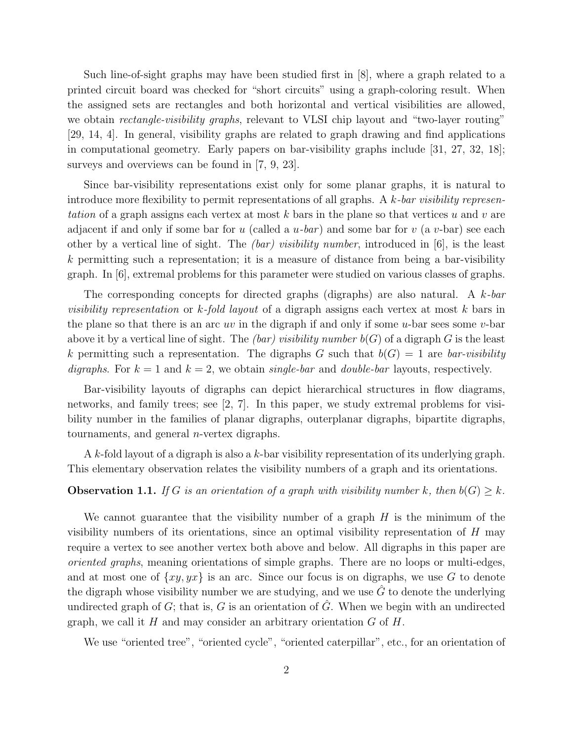Such line-of-sight graphs may have been studied first in [8], where a graph related to a printed circuit board was checked for "short circuits" using a graph-coloring result. When the assigned sets are rectangles and both horizontal and vertical visibilities are allowed, we obtain *rectangle-visibility graphs*, relevant to VLSI chip layout and "two-layer routing" [29, 14, 4]. In general, visibility graphs are related to graph drawing and find applications in computational geometry. Early papers on bar-visibility graphs include [31, 27, 32, 18]; surveys and overviews can be found in [7, 9, 23].

Since bar-visibility representations exist only for some planar graphs, it is natural to introduce more flexibility to permit representations of all graphs. A  $k$ -bar visibility representation of a graph assigns each vertex at most  $k$  bars in the plane so that vertices u and v are adjacent if and only if some bar for u (called a  $u$ -bar) and some bar for v (a v-bar) see each other by a vertical line of sight. The *(bar) visibility number*, introduced in [6], is the least  $k$  permitting such a representation; it is a measure of distance from being a bar-visibility graph. In [6], extremal problems for this parameter were studied on various classes of graphs.

The corresponding concepts for directed graphs (digraphs) are also natural. A k-bar visibility representation or  $k$ -fold layout of a digraph assigns each vertex at most k bars in the plane so that there is an arc uv in the digraph if and only if some u-bar sees some v-bar above it by a vertical line of sight. The *(bar)* visibility number  $b(G)$  of a digraph G is the least k permitting such a representation. The digraphs G such that  $b(G) = 1$  are *bar-visibility* digraphs. For  $k = 1$  and  $k = 2$ , we obtain single-bar and double-bar layouts, respectively.

Bar-visibility layouts of digraphs can depict hierarchical structures in flow diagrams, networks, and family trees; see [2, 7]. In this paper, we study extremal problems for visibility number in the families of planar digraphs, outerplanar digraphs, bipartite digraphs, tournaments, and general n-vertex digraphs.

A k-fold layout of a digraph is also a k-bar visibility representation of its underlying graph. This elementary observation relates the visibility numbers of a graph and its orientations.

**Observation 1.1.** If G is an orientation of a graph with visibility number k, then  $b(G) > k$ .

We cannot guarantee that the visibility number of a graph  $H$  is the minimum of the visibility numbers of its orientations, since an optimal visibility representation of  $H$  may require a vertex to see another vertex both above and below. All digraphs in this paper are oriented graphs, meaning orientations of simple graphs. There are no loops or multi-edges, and at most one of  $\{xy,yx\}$  is an arc. Since our focus is on digraphs, we use G to denote the digraph whose visibility number we are studying, and we use  $\hat{G}$  to denote the underlying undirected graph of  $G$ ; that is,  $G$  is an orientation of  $\tilde{G}$ . When we begin with an undirected graph, we call it  $H$  and may consider an arbitrary orientation  $G$  of  $H$ .

We use "oriented tree", "oriented cycle", "oriented caterpillar", etc., for an orientation of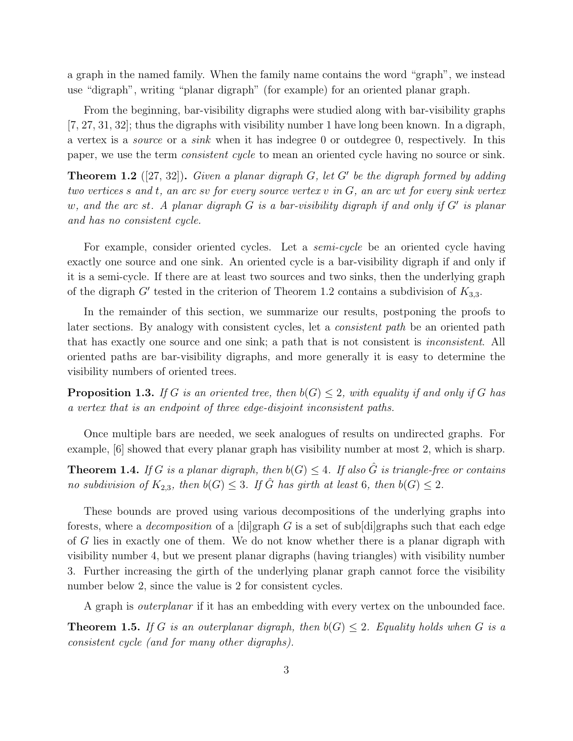a graph in the named family. When the family name contains the word "graph", we instead use "digraph", writing "planar digraph" (for example) for an oriented planar graph.

From the beginning, bar-visibility digraphs were studied along with bar-visibility graphs [7, 27, 31, 32]; thus the digraphs with visibility number 1 have long been known. In a digraph, a vertex is a source or a sink when it has indegree 0 or outdegree 0, respectively. In this paper, we use the term consistent cycle to mean an oriented cycle having no source or sink.

**Theorem 1.2** ([27, 32]). Given a planar digraph  $G$ , let  $G'$  be the digraph formed by adding two vertices s and t, an arc sv for every source vertex v in G, an arc wt for every sink vertex w, and the arc st. A planar digraph  $G$  is a bar-visibility digraph if and only if  $G'$  is planar and has no consistent cycle.

For example, consider oriented cycles. Let a *semi-cycle* be an oriented cycle having exactly one source and one sink. An oriented cycle is a bar-visibility digraph if and only if it is a semi-cycle. If there are at least two sources and two sinks, then the underlying graph of the digraph  $G'$  tested in the criterion of Theorem 1.2 contains a subdivision of  $K_{3,3}$ .

In the remainder of this section, we summarize our results, postponing the proofs to later sections. By analogy with consistent cycles, let a *consistent path* be an oriented path that has exactly one source and one sink; a path that is not consistent is inconsistent. All oriented paths are bar-visibility digraphs, and more generally it is easy to determine the visibility numbers of oriented trees.

**Proposition 1.3.** If G is an oriented tree, then  $b(G) \leq 2$ , with equality if and only if G has a vertex that is an endpoint of three edge-disjoint inconsistent paths.

Once multiple bars are needed, we seek analogues of results on undirected graphs. For example, [6] showed that every planar graph has visibility number at most 2, which is sharp.

**Theorem 1.4.** If G is a planar digraph, then  $b(G) \leq 4$ . If also  $\hat{G}$  is triangle-free or contains no subdivision of  $K_{2,3}$ , then  $b(G) \leq 3$ . If  $\hat{G}$  has girth at least 6, then  $b(G) \leq 2$ .

These bounds are proved using various decompositions of the underlying graphs into forests, where a *decomposition* of a [di]graph G is a set of sub[di]graphs such that each edge of G lies in exactly one of them. We do not know whether there is a planar digraph with visibility number 4, but we present planar digraphs (having triangles) with visibility number 3. Further increasing the girth of the underlying planar graph cannot force the visibility number below 2, since the value is 2 for consistent cycles.

A graph is *outerplanar* if it has an embedding with every vertex on the unbounded face.

**Theorem 1.5.** If G is an outerplanar digraph, then  $b(G) \leq 2$ . Equality holds when G is a consistent cycle (and for many other digraphs).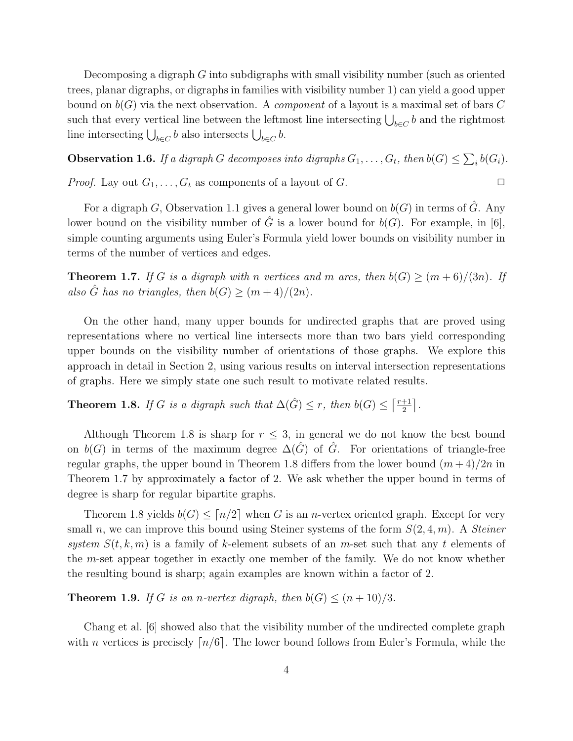Decomposing a digraph  $G$  into subdigraphs with small visibility number (such as oriented trees, planar digraphs, or digraphs in families with visibility number 1) can yield a good upper bound on  $b(G)$  via the next observation. A *component* of a layout is a maximal set of bars C such that every vertical line between the leftmost line intersecting  $\bigcup_{b \in C} b$  and the rightmost line intersecting  $\bigcup_{b \in C} b$  also intersects  $\bigcup_{b \in C} b$ .

**Observation 1.6.** If a digraph G decomposes into digraphs  $G_1, \ldots, G_t$ , then  $b(G) \leq \sum_i b(G_i)$ .

*Proof.* Lay out  $G_1, \ldots, G_t$  as components of a layout of  $G$ .

For a digraph G, Observation 1.1 gives a general lower bound on  $b(G)$  in terms of  $\hat{G}$ . Any lower bound on the visibility number of  $\hat{G}$  is a lower bound for  $b(G)$ . For example, in [6], simple counting arguments using Euler's Formula yield lower bounds on visibility number in terms of the number of vertices and edges.

**Theorem 1.7.** If G is a digraph with n vertices and m arcs, then  $b(G) \ge (m+6)/(3n)$ . If also  $\hat{G}$  has no triangles, then  $b(G) \geq (m+4)/(2n)$ .

On the other hand, many upper bounds for undirected graphs that are proved using representations where no vertical line intersects more than two bars yield corresponding upper bounds on the visibility number of orientations of those graphs. We explore this approach in detail in Section 2, using various results on interval intersection representations of graphs. Here we simply state one such result to motivate related results.

**Theorem 1.8.** If G is a digraph such that  $\Delta(\hat{G}) \leq r$ , then  $b(G) \leq \lceil \frac{r+1}{2} \rceil$  $\frac{+1}{2}$ .

Although Theorem 1.8 is sharp for  $r \leq 3$ , in general we do not know the best bound on  $b(G)$  in terms of the maximum degree  $\Delta(\hat{G})$  of  $\hat{G}$ . For orientations of triangle-free regular graphs, the upper bound in Theorem 1.8 differs from the lower bound  $(m+4)/2n$  in Theorem 1.7 by approximately a factor of 2. We ask whether the upper bound in terms of degree is sharp for regular bipartite graphs.

Theorem 1.8 yields  $b(G) \leq [n/2]$  when G is an *n*-vertex oriented graph. Except for very small n, we can improve this bound using Steiner systems of the form  $S(2, 4, m)$ . A *Steiner* system  $S(t,k,m)$  is a family of k-element subsets of an m-set such that any t elements of the m-set appear together in exactly one member of the family. We do not know whether the resulting bound is sharp; again examples are known within a factor of 2.

**Theorem 1.9.** If G is an n-vertex digraph, then  $b(G) \leq (n+10)/3$ .

Chang et al. [6] showed also that the visibility number of the undirected complete graph with n vertices is precisely  $\lceil n/6 \rceil$ . The lower bound follows from Euler's Formula, while the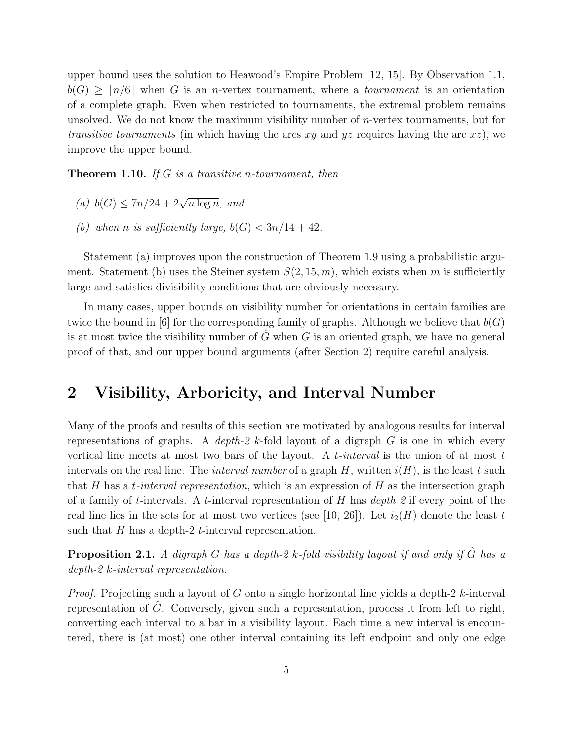upper bound uses the solution to Heawood's Empire Problem [12, 15]. By Observation 1.1,  $b(G) \geq n/6$  when G is an *n*-vertex tournament, where a *tournament* is an orientation of a complete graph. Even when restricted to tournaments, the extremal problem remains unsolved. We do not know the maximum visibility number of n-vertex tournaments, but for transitive tournaments (in which having the arcs  $xy$  and  $yz$  requires having the arc  $xz$ ), we improve the upper bound.

**Theorem 1.10.** If G is a transitive n-tournament, then

- (a)  $b(G) \leq 7n/24 + 2\sqrt{n \log n}$ , and
- (b) when n is sufficiently large,  $b(G) < 3n/14 + 42$ .

Statement (a) improves upon the construction of Theorem 1.9 using a probabilistic argument. Statement (b) uses the Steiner system  $S(2, 15, m)$ , which exists when m is sufficiently large and satisfies divisibility conditions that are obviously necessary.

In many cases, upper bounds on visibility number for orientations in certain families are twice the bound in [6] for the corresponding family of graphs. Although we believe that  $b(G)$ is at most twice the visibility number of  $\tilde{G}$  when G is an oriented graph, we have no general proof of that, and our upper bound arguments (after Section 2) require careful analysis.

### 2 Visibility, Arboricity, and Interval Number

Many of the proofs and results of this section are motivated by analogous results for interval representations of graphs. A depth-2 k-fold layout of a digraph  $G$  is one in which every vertical line meets at most two bars of the layout. A t-interval is the union of at most  $t$ intervals on the real line. The *interval number* of a graph H, written  $i(H)$ , is the least t such that H has a *t-interval representation*, which is an expression of H as the intersection graph of a family of t-intervals. A t-interval representation of H has  $depth 2$  if every point of the real line lies in the sets for at most two vertices (see [10, 26]). Let  $i_2(H)$  denote the least t such that  $H$  has a depth-2 *t*-interval representation.

**Proposition 2.1.** A digraph G has a depth-2 k-fold visibility layout if and only if  $\hat{G}$  has a depth-2 k-interval representation.

*Proof.* Projecting such a layout of G onto a single horizontal line yields a depth-2 k-interval representation of  $\tilde{G}$ . Conversely, given such a representation, process it from left to right, converting each interval to a bar in a visibility layout. Each time a new interval is encountered, there is (at most) one other interval containing its left endpoint and only one edge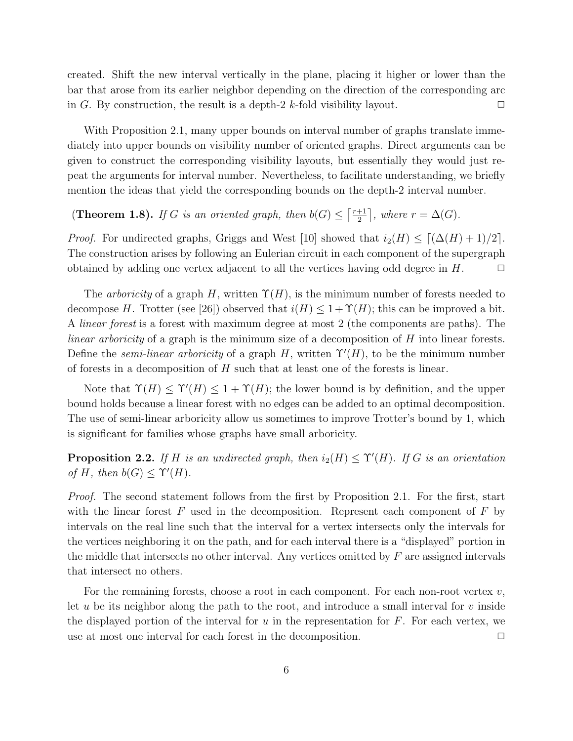created. Shift the new interval vertically in the plane, placing it higher or lower than the bar that arose from its earlier neighbor depending on the direction of the corresponding arc in G. By construction, the result is a depth-2 k-fold visibility layout.  $\square$ 

With Proposition 2.1, many upper bounds on interval number of graphs translate immediately into upper bounds on visibility number of oriented graphs. Direct arguments can be given to construct the corresponding visibility layouts, but essentially they would just repeat the arguments for interval number. Nevertheless, to facilitate understanding, we briefly mention the ideas that yield the corresponding bounds on the depth-2 interval number.

(**Theorem 1.8**). If G is an oriented graph, then  $b(G) \leq \lceil \frac{r+1}{2} \rceil$  $\frac{+1}{2}$ , where  $r = \Delta(G)$ .

*Proof.* For undirected graphs, Griggs and West [10] showed that  $i_2(H) \leq [(\Delta(H) + 1)/2]$ . The construction arises by following an Eulerian circuit in each component of the supergraph obtained by adding one vertex adjacent to all the vertices having odd degree in  $H$ .  $\Box$ 

The arboricity of a graph H, written  $\Upsilon(H)$ , is the minimum number of forests needed to decompose H. Trotter (see [26]) observed that  $i(H) \leq 1+\Upsilon(H)$ ; this can be improved a bit. A linear forest is a forest with maximum degree at most 2 (the components are paths). The *linear arboricity* of a graph is the minimum size of a decomposition of  $H$  into linear forests. Define the *semi-linear arboricity* of a graph H, written  $\Upsilon'(H)$ , to be the minimum number of forests in a decomposition of  $H$  such that at least one of the forests is linear.

Note that  $\Upsilon(H) \leq \Upsilon'(H) \leq 1 + \Upsilon(H)$ ; the lower bound is by definition, and the upper bound holds because a linear forest with no edges can be added to an optimal decomposition. The use of semi-linear arboricity allow us sometimes to improve Trotter's bound by 1, which is significant for families whose graphs have small arboricity.

**Proposition 2.2.** If H is an undirected graph, then  $i_2(H) \leq \Upsilon'(H)$ . If G is an orientation of H, then  $b(G) \leq \Upsilon'(H)$ .

Proof. The second statement follows from the first by Proposition 2.1. For the first, start with the linear forest  $F$  used in the decomposition. Represent each component of  $F$  by intervals on the real line such that the interval for a vertex intersects only the intervals for the vertices neighboring it on the path, and for each interval there is a "displayed" portion in the middle that intersects no other interval. Any vertices omitted by  $F$  are assigned intervals that intersect no others.

For the remaining forests, choose a root in each component. For each non-root vertex  $v$ , let  $u$  be its neighbor along the path to the root, and introduce a small interval for  $v$  inside the displayed portion of the interval for  $u$  in the representation for  $F$ . For each vertex, we use at most one interval for each forest in the decomposition.  $\Box$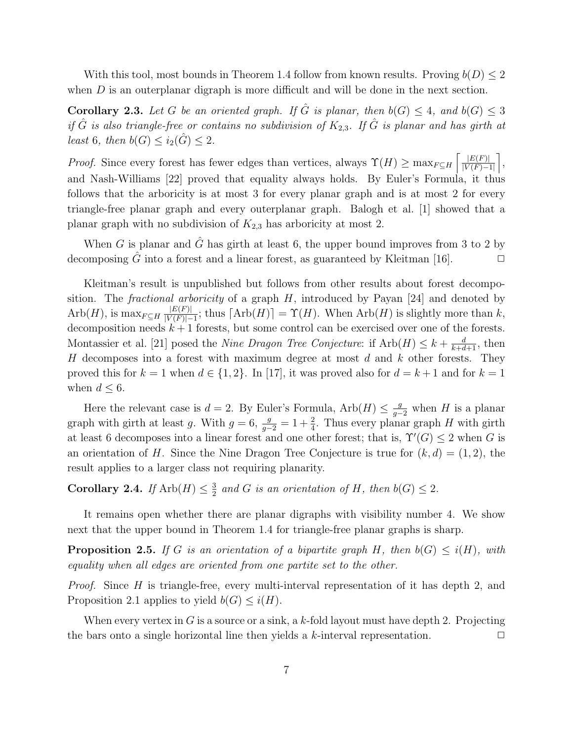With this tool, most bounds in Theorem 1.4 follow from known results. Proving  $b(D) \leq 2$ when  $D$  is an outerplanar digraph is more difficult and will be done in the next section.

**Corollary 2.3.** Let G be an oriented graph. If  $\hat{G}$  is planar, then  $b(G) \leq 4$ , and  $b(G) \leq 3$ if  $\hat{G}$  is also triangle-free or contains no subdivision of  $K_{2,3}$ . If  $\hat{G}$  is planar and has girth at least 6, then  $b(G) \leq i_2(\hat{G}) \leq 2$ .

*Proof.* Since every forest has fewer edges than vertices, always  $\Upsilon(H) \ge \max_{F \subseteq H} \left[ \frac{|E(F)|}{|V(F)|} \right]$  $\frac{|E(F)|}{|V(F)-1|}$ , and Nash-Williams [22] proved that equality always holds. By Euler's Formula, it thus follows that the arboricity is at most 3 for every planar graph and is at most 2 for every triangle-free planar graph and every outerplanar graph. Balogh et al. [1] showed that a planar graph with no subdivision of  $K_{2,3}$  has arboricity at most 2.

When G is planar and  $\hat{G}$  has girth at least 6, the upper bound improves from 3 to 2 by decomposing  $\hat{G}$  into a forest and a linear forest, as guaranteed by Kleitman [16].  $\Box$ 

Kleitman's result is unpublished but follows from other results about forest decomposition. The *fractional arboricity* of a graph  $H$ , introduced by Payan [24] and denoted by  $Arb(H)$ , is  $\max_{F \subseteq H} \frac{|E(F)|}{|V(F)|}$  $\frac{|E(F)|}{|V(F)|-1}$ ; thus  $\lceil \text{Arb}(H) \rceil = \Upsilon(H)$ . When  $\text{Arb}(H)$  is slightly more than k, decomposition needs  $k+1$  forests, but some control can be exercised over one of the forests. Montassier et al. [21] posed the *Nine Dragon Tree Conjecture*: if  $Arb(H) \leq k + \frac{d}{k+d+1}$ , then  $H$  decomposes into a forest with maximum degree at most  $d$  and  $k$  other forests. They proved this for  $k = 1$  when  $d \in \{1, 2\}$ . In [17], it was proved also for  $d = k + 1$  and for  $k = 1$ when  $d \leq 6$ .

Here the relevant case is  $d = 2$ . By Euler's Formula,  $Arb(H) \leq \frac{g}{g-2}$  when H is a planar graph with girth at least g. With  $g = 6$ ,  $\frac{g}{g-2} = 1 + \frac{2}{4}$ . Thus every planar graph H with girth at least 6 decomposes into a linear forest and one other forest; that is,  $\Upsilon'(G) \leq 2$  when G is an orientation of H. Since the Nine Dragon Tree Conjecture is true for  $(k, d) = (1, 2)$ , the result applies to a larger class not requiring planarity.

Corollary 2.4. If  $\text{Arb}(H) \leq \frac{3}{2}$  $\frac{3}{2}$  and G is an orientation of H, then  $b(G) \leq 2$ .

It remains open whether there are planar digraphs with visibility number 4. We show next that the upper bound in Theorem 1.4 for triangle-free planar graphs is sharp.

**Proposition 2.5.** If G is an orientation of a bipartite graph H, then  $b(G) \leq i(H)$ , with equality when all edges are oriented from one partite set to the other.

Proof. Since H is triangle-free, every multi-interval representation of it has depth 2, and Proposition 2.1 applies to yield  $b(G) \leq i(H)$ .

When every vertex in G is a source or a sink, a k-fold layout must have depth 2. Projecting the bars onto a single horizontal line then yields a k-interval representation.  $\Box$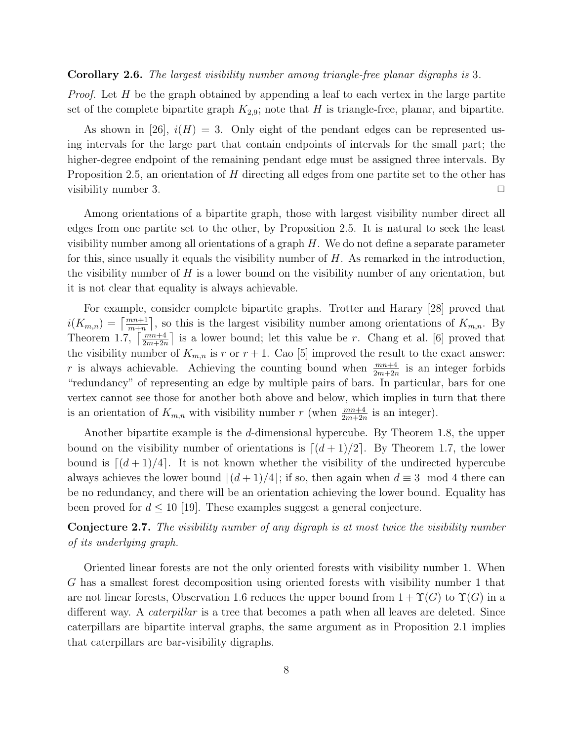#### Corollary 2.6. The largest visibility number among triangle-free planar digraphs is 3.

*Proof.* Let  $H$  be the graph obtained by appending a leaf to each vertex in the large partite set of the complete bipartite graph  $K_{2,9}$ ; note that H is triangle-free, planar, and bipartite.

As shown in [26],  $i(H) = 3$ . Only eight of the pendant edges can be represented using intervals for the large part that contain endpoints of intervals for the small part; the higher-degree endpoint of the remaining pendant edge must be assigned three intervals. By Proposition 2.5, an orientation of H directing all edges from one partite set to the other has visibility number 3.  $\Box$ 

Among orientations of a bipartite graph, those with largest visibility number direct all edges from one partite set to the other, by Proposition 2.5. It is natural to seek the least visibility number among all orientations of a graph  $H$ . We do not define a separate parameter for this, since usually it equals the visibility number of  $H$ . As remarked in the introduction, the visibility number of  $H$  is a lower bound on the visibility number of any orientation, but it is not clear that equality is always achievable.

For example, consider complete bipartite graphs. Trotter and Harary [28] proved that  $i(K_{m,n}) = \lceil \frac{mn+1}{m+n} \rceil$ , so this is the largest visibility number among orientations of  $K_{m,n}$ . By Theorem 1.7,  $\left\lceil \frac{mn+4}{2m+2n} \right\rceil$  is a lower bound; let this value be r. Chang et al. [6] proved that the visibility number of  $K_{m,n}$  is r or  $r+1$ . Cao [5] improved the result to the exact answer: r is always achievable. Achieving the counting bound when  $\frac{mn+4}{2m+2n}$  is an integer forbids "redundancy" of representing an edge by multiple pairs of bars. In particular, bars for one vertex cannot see those for another both above and below, which implies in turn that there is an orientation of  $K_{m,n}$  with visibility number r (when  $\frac{mn+4}{2m+2n}$  is an integer).

Another bipartite example is the d-dimensional hypercube. By Theorem 1.8, the upper bound on the visibility number of orientations is  $\lfloor (d+1)/2 \rfloor$ . By Theorem 1.7, the lower bound is  $\lceil (d+1)/4 \rceil$ . It is not known whether the visibility of the undirected hypercube always achieves the lower bound  $\lceil (d+1)/4 \rceil$ ; if so, then again when  $d \equiv 3 \mod 4$  there can be no redundancy, and there will be an orientation achieving the lower bound. Equality has been proved for  $d \leq 10$  [19]. These examples suggest a general conjecture.

Conjecture 2.7. The visibility number of any digraph is at most twice the visibility number of its underlying graph.

Oriented linear forests are not the only oriented forests with visibility number 1. When G has a smallest forest decomposition using oriented forests with visibility number 1 that are not linear forests, Observation 1.6 reduces the upper bound from  $1+\Upsilon(G)$  to  $\Upsilon(G)$  in a different way. A *caterpillar* is a tree that becomes a path when all leaves are deleted. Since caterpillars are bipartite interval graphs, the same argument as in Proposition 2.1 implies that caterpillars are bar-visibility digraphs.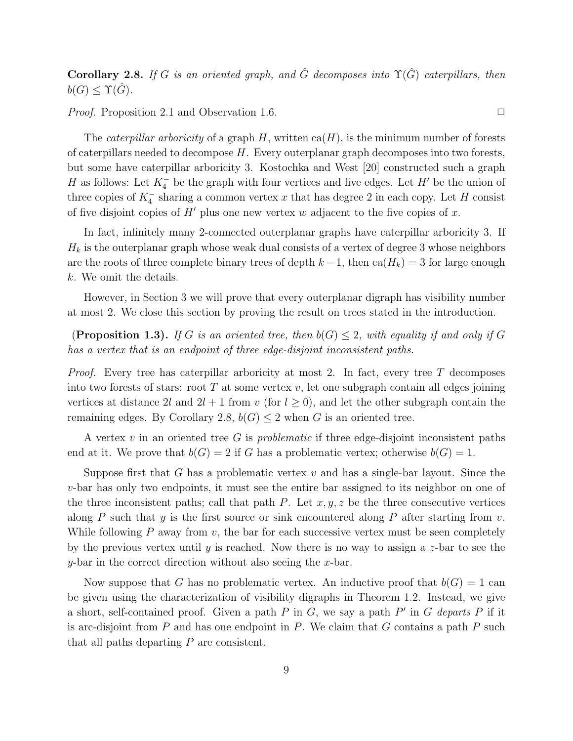Corollary 2.8. If G is an oriented graph, and  $\hat{G}$  decomposes into  $\Upsilon(\hat{G})$  caterpillars, then  $b(G) \leq \Upsilon(G)$ .

*Proof.* Proposition 2.1 and Observation 1.6.  $\Box$ 

The *caterpillar arboricity* of a graph H, written  $ca(H)$ , is the minimum number of forests of caterpillars needed to decompose H. Every outerplanar graph decomposes into two forests, but some have caterpillar arboricity 3. Kostochka and West [20] constructed such a graph H as follows: Let  $K_4^-$  be the graph with four vertices and five edges. Let H' be the union of three copies of  $K_4^-$  sharing a common vertex x that has degree 2 in each copy. Let H consist of five disjoint copies of  $H'$  plus one new vertex w adjacent to the five copies of x.

In fact, infinitely many 2-connected outerplanar graphs have caterpillar arboricity 3. If  $H_k$  is the outerplanar graph whose weak dual consists of a vertex of degree 3 whose neighbors are the roots of three complete binary trees of depth  $k-1$ , then  $ca(H_k) = 3$  for large enough k. We omit the details.

However, in Section 3 we will prove that every outerplanar digraph has visibility number at most 2. We close this section by proving the result on trees stated in the introduction.

**(Proposition 1.3).** If G is an oriented tree, then  $b(G) \leq 2$ , with equality if and only if G has a vertex that is an endpoint of three edge-disjoint inconsistent paths.

*Proof.* Every tree has caterpillar arboricity at most 2. In fact, every tree T decomposes into two forests of stars: root  $T$  at some vertex  $v$ , let one subgraph contain all edges joining vertices at distance 2l and  $2l + 1$  from v (for  $l \geq 0$ ), and let the other subgraph contain the remaining edges. By Corollary 2.8,  $b(G) \leq 2$  when G is an oriented tree.

A vertex v in an oriented tree G is *problematic* if three edge-disjoint inconsistent paths end at it. We prove that  $b(G) = 2$  if G has a problematic vertex; otherwise  $b(G) = 1$ .

Suppose first that G has a problematic vertex  $v$  and has a single-bar layout. Since the v-bar has only two endpoints, it must see the entire bar assigned to its neighbor on one of the three inconsistent paths; call that path P. Let  $x, y, z$  be the three consecutive vertices along P such that y is the first source or sink encountered along P after starting from v. While following  $P$  away from  $v$ , the bar for each successive vertex must be seen completely by the previous vertex until y is reached. Now there is no way to assign a  $z$ -bar to see the y-bar in the correct direction without also seeing the x-bar.

Now suppose that G has no problematic vertex. An inductive proof that  $b(G) = 1$  can be given using the characterization of visibility digraphs in Theorem 1.2. Instead, we give a short, self-contained proof. Given a path  $P$  in  $G$ , we say a path  $P'$  in  $G$  departs  $P$  if it is arc-disjoint from  $P$  and has one endpoint in  $P$ . We claim that  $G$  contains a path  $P$  such that all paths departing P are consistent.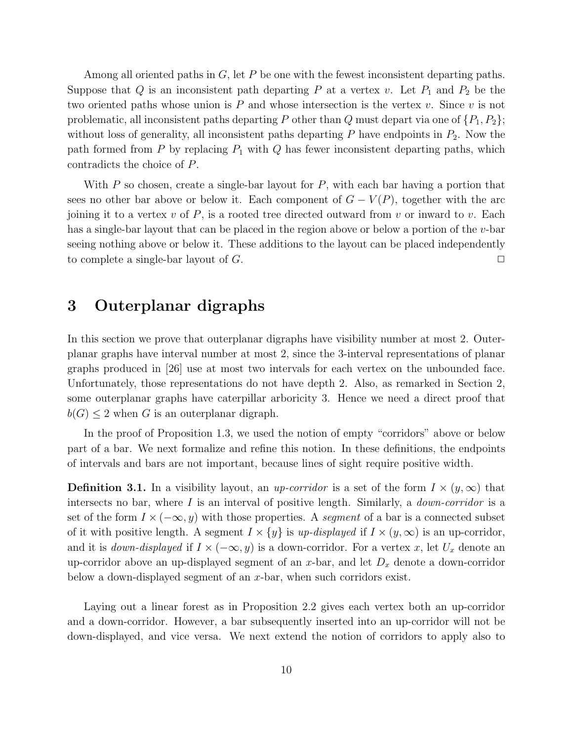Among all oriented paths in  $G$ , let  $P$  be one with the fewest inconsistent departing paths. Suppose that Q is an inconsistent path departing P at a vertex v. Let  $P_1$  and  $P_2$  be the two oriented paths whose union is  $P$  and whose intersection is the vertex  $v$ . Since  $v$  is not problematic, all inconsistent paths departing P other than Q must depart via one of  $\{P_1, P_2\}$ ; without loss of generality, all inconsistent paths departing  $P$  have endpoints in  $P_2$ . Now the path formed from  $P$  by replacing  $P_1$  with  $Q$  has fewer inconsistent departing paths, which contradicts the choice of P.

With  $P$  so chosen, create a single-bar layout for  $P$ , with each bar having a portion that sees no other bar above or below it. Each component of  $G - V(P)$ , together with the arc joining it to a vertex  $v$  of  $P$ , is a rooted tree directed outward from  $v$  or inward to  $v$ . Each has a single-bar layout that can be placed in the region above or below a portion of the  $v$ -bar seeing nothing above or below it. These additions to the layout can be placed independently to complete a single-bar layout of  $G$ .

### 3 Outerplanar digraphs

In this section we prove that outerplanar digraphs have visibility number at most 2. Outerplanar graphs have interval number at most 2, since the 3-interval representations of planar graphs produced in [26] use at most two intervals for each vertex on the unbounded face. Unfortunately, those representations do not have depth 2. Also, as remarked in Section 2, some outerplanar graphs have caterpillar arboricity 3. Hence we need a direct proof that  $b(G) \leq 2$  when G is an outerplanar digraph.

In the proof of Proposition 1.3, we used the notion of empty "corridors" above or below part of a bar. We next formalize and refine this notion. In these definitions, the endpoints of intervals and bars are not important, because lines of sight require positive width.

**Definition 3.1.** In a visibility layout, an *up-corridor* is a set of the form  $I \times (y,\infty)$  that intersects no bar, where  $I$  is an interval of positive length. Similarly, a *down-corridor* is a set of the form  $I \times (-\infty, y)$  with those properties. A segment of a bar is a connected subset of it with positive length. A segment  $I \times \{y\}$  is up-displayed if  $I \times (y, \infty)$  is an up-corridor, and it is *down-displayed* if  $I \times (-\infty, y)$  is a down-corridor. For a vertex x, let  $U_x$  denote an up-corridor above an up-displayed segment of an x-bar, and let  $D_x$  denote a down-corridor below a down-displayed segment of an  $x$ -bar, when such corridors exist.

Laying out a linear forest as in Proposition 2.2 gives each vertex both an up-corridor and a down-corridor. However, a bar subsequently inserted into an up-corridor will not be down-displayed, and vice versa. We next extend the notion of corridors to apply also to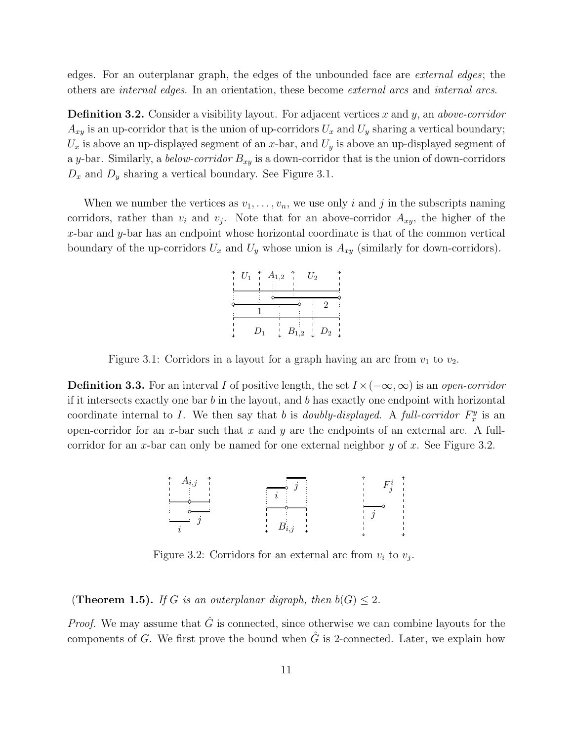edges. For an outerplanar graph, the edges of the unbounded face are external edges; the others are internal edges. In an orientation, these become external arcs and internal arcs.

**Definition 3.2.** Consider a visibility layout. For adjacent vertices x and y, an *above-corridor*  $A_{xy}$  is an up-corridor that is the union of up-corridors  $U_x$  and  $U_y$  sharing a vertical boundary;  $U_x$  is above an up-displayed segment of an x-bar, and  $U_y$  is above an up-displayed segment of a y-bar. Similarly, a *below-corridor*  $B_{xy}$  is a down-corridor that is the union of down-corridors  $D_x$  and  $D_y$  sharing a vertical boundary. See Figure 3.1.

When we number the vertices as  $v_1, \ldots, v_n$ , we use only i and j in the subscripts naming corridors, rather than  $v_i$  and  $v_j$ . Note that for an above-corridor  $A_{xy}$ , the higher of the x-bar and  $y$ -bar has an endpoint whose horizontal coordinate is that of the common vertical boundary of the up-corridors  $U_x$  and  $U_y$  whose union is  $A_{xy}$  (similarly for down-corridors).

|  |       | $U_1$ $\uparrow$ $A_{1,2}$ $\uparrow$ | $U_2$                        |  |
|--|-------|---------------------------------------|------------------------------|--|
|  |       |                                       |                              |  |
|  |       |                                       |                              |  |
|  | $D_1$ |                                       | $B_{1,2}$ $\downarrow$ $D_2$ |  |

Figure 3.1: Corridors in a layout for a graph having an arc from  $v_1$  to  $v_2$ .

**Definition 3.3.** For an interval I of positive length, the set  $I \times (-\infty, \infty)$  is an *open-corridor* if it intersects exactly one bar  $b$  in the layout, and  $b$  has exactly one endpoint with horizontal coordinate internal to I. We then say that b is *doubly-displayed*. A full-corridor  $F_x^y$  is an open-corridor for an x-bar such that x and y are the endpoints of an external arc. A fullcorridor for an x-bar can only be named for one external neighbor  $y$  of  $x$ . See Figure 3.2.



Figure 3.2: Corridors for an external arc from  $v_i$  to  $v_j$ .

(Theorem 1.5). If G is an outerplanar digraph, then  $b(G) \leq 2$ .

*Proof.* We may assume that  $\hat{G}$  is connected, since otherwise we can combine layouts for the components of G. We first prove the bound when  $\hat{G}$  is 2-connected. Later, we explain how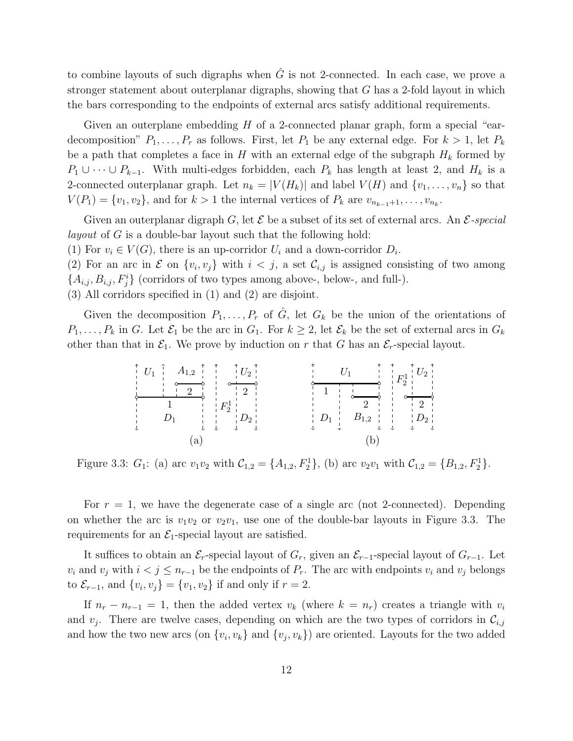to combine layouts of such digraphs when  $\hat{G}$  is not 2-connected. In each case, we prove a stronger statement about outerplanar digraphs, showing that G has a 2-fold layout in which the bars corresponding to the endpoints of external arcs satisfy additional requirements.

Given an outerplane embedding  $H$  of a 2-connected planar graph, form a special "eardecomposition"  $P_1, \ldots, P_r$  as follows. First, let  $P_1$  be any external edge. For  $k > 1$ , let  $P_k$ be a path that completes a face in H with an external edge of the subgraph  $H_k$  formed by  $P_1 \cup \cdots \cup P_{k-1}$ . With multi-edges forbidden, each  $P_k$  has length at least 2, and  $H_k$  is a 2-connected outerplanar graph. Let  $n_k = |V(H_k)|$  and label  $V(H)$  and  $\{v_1, \ldots, v_n\}$  so that  $V(P_1) = \{v_1, v_2\}$ , and for  $k > 1$  the internal vertices of  $P_k$  are  $v_{n_{k-1}+1}, \ldots, v_{n_k}$ .

Given an outerplanar digraph G, let  $\mathcal E$  be a subset of its set of external arcs. An  $\mathcal E$ -special layout of G is a double-bar layout such that the following hold:

(1) For  $v_i \in V(G)$ , there is an up-corridor  $U_i$  and a down-corridor  $D_i$ .

(2) For an arc in  $\mathcal E$  on  $\{v_i, v_j\}$  with  $i < j$ , a set  $\mathcal C_{i,j}$  is assigned consisting of two among  $\{A_{i,j}, B_{i,j}, F_j^i\}$  (corridors of two types among above-, below-, and full-).

(3) All corridors specified in (1) and (2) are disjoint.

Given the decomposition  $P_1,\ldots,P_r$  of  $\hat{G}$ , let  $G_k$  be the union of the orientations of  $P_1,\ldots,P_k$  in G. Let  $\mathcal{E}_1$  be the arc in  $G_1$ . For  $k \geq 2$ , let  $\mathcal{E}_k$  be the set of external arcs in  $G_k$ other than that in  $\mathcal{E}_1$ . We prove by induction on r that G has an  $\mathcal{E}_r$ -special layout.

| $A_{1,2}$ $\stackrel{\uparrow}{\longrightarrow}$ $\stackrel{\uparrow}{\longrightarrow}$ $\stackrel{\uparrow}{\longrightarrow}$ $U_2$ $\stackrel{\uparrow}{\longrightarrow}$<br>$U_1$ $\vdots$ | $F_{2}$                           |
|-----------------------------------------------------------------------------------------------------------------------------------------------------------------------------------------------|-----------------------------------|
| $F_2^1$                                                                                                                                                                                       | $2 + 1$                           |
| $\begin{array}{cc} \begin{array}{cc} \cdot & \cdot & \cdot & D_2 \end{array} \end{array}$                                                                                                     | $B_{1,2}$    <br>$D_1$<br>$D_{2}$ |
| a                                                                                                                                                                                             |                                   |

Figure 3.3:  $G_1$ : (a) arc  $v_1v_2$  with  $C_{1,2} = \{A_{1,2}, F_2^1\}$ , (b) arc  $v_2v_1$  with  $C_{1,2} = \{B_{1,2}, F_2^1\}$ .

For  $r = 1$ , we have the degenerate case of a single arc (not 2-connected). Depending on whether the arc is  $v_1v_2$  or  $v_2v_1$ , use one of the double-bar layouts in Figure 3.3. The requirements for an  $\mathcal{E}_1$ -special layout are satisfied.

It suffices to obtain an  $\mathcal{E}_r$ -special layout of  $G_r$ , given an  $\mathcal{E}_{r-1}$ -special layout of  $G_{r-1}$ . Let  $v_i$  and  $v_j$  with  $i < j \leq n_{r-1}$  be the endpoints of  $P_r$ . The arc with endpoints  $v_i$  and  $v_j$  belongs to  $\mathcal{E}_{r-1}$ , and  $\{v_i, v_j\} = \{v_1, v_2\}$  if and only if  $r = 2$ .

If  $n_r - n_{r-1} = 1$ , then the added vertex  $v_k$  (where  $k = n_r$ ) creates a triangle with  $v_i$ and  $v_j$ . There are twelve cases, depending on which are the two types of corridors in  $\mathcal{C}_{i,j}$ and how the two new arcs (on  $\{v_i, v_k\}$  and  $\{v_j, v_k\}$ ) are oriented. Layouts for the two added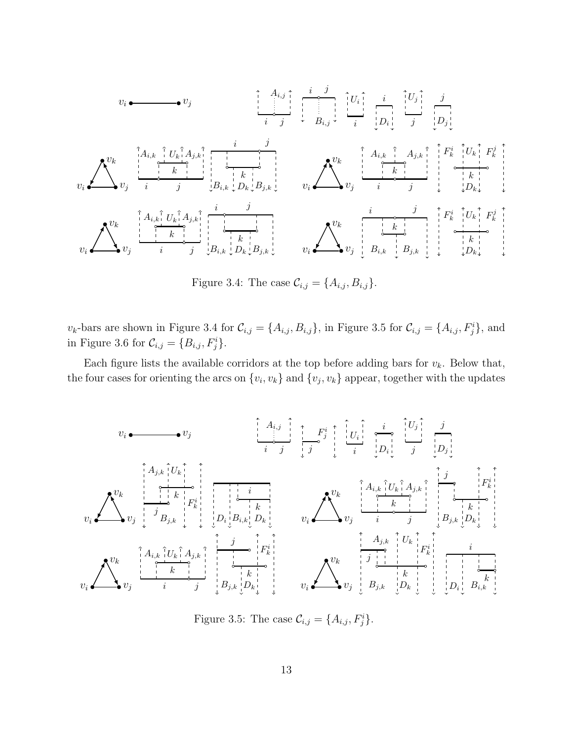v<sup>i</sup> v<sup>j</sup> i j <sup>A</sup>i,j <sup>i</sup> <sup>j</sup> Bi,j i Ui i D<sup>i</sup> j U<sup>j</sup> j D<sup>j</sup> v<sup>i</sup> v<sup>j</sup> vk i j k Ai,k U<sup>k</sup> Aj,k i j k Bi,k D<sup>k</sup> Bj,k v<sup>i</sup> v<sup>j</sup> vk i j k Ai,k Aj,k k F i <sup>k</sup> F j k U<sup>k</sup> D<sup>k</sup> v<sup>i</sup> v<sup>j</sup> vk i j k Ai,k U<sup>k</sup> Aj,k i j k Bi,k D<sup>k</sup> Bj,k v<sup>i</sup> v<sup>j</sup> vk i j k Bi,k Bj,k k F i <sup>k</sup> F j k U<sup>k</sup> D<sup>k</sup>

Figure 3.4: The case  $\mathcal{C}_{i,j} = \{A_{i,j}, B_{i,j}\}.$ 

 $v_k$ -bars are shown in Figure 3.4 for  $\mathcal{C}_{i,j} = \{A_{i,j}, B_{i,j}\}$ , in Figure 3.5 for  $\mathcal{C}_{i,j} = \{A_{i,j}, F_j^i\}$ , and in Figure 3.6 for  $\mathcal{C}_{i,j} = \{B_{i,j}, F_j^i\}.$ 

Each figure lists the available corridors at the top before adding bars for  $v_k$ . Below that, the four cases for orienting the arcs on  $\{v_i, v_k\}$  and  $\{v_j, v_k\}$  appear, together with the updates

v<sup>i</sup> v<sup>j</sup> i j Ai,j j F i j i Ui i D<sup>i</sup> j U<sup>j</sup> j D<sup>j</sup> v<sup>i</sup> v<sup>j</sup> vk j k F i k Aj,k Bj,k U<sup>k</sup> i k D<sup>i</sup> Bi,k D<sup>k</sup> v<sup>i</sup> v<sup>j</sup> vk i j k Ai,k U<sup>k</sup> Aj,k j k F i k Bj,k D<sup>k</sup> v<sup>i</sup> v<sup>j</sup> vk i j k Ai,k U<sup>k</sup> Aj,k j k F i k Bj,k D<sup>k</sup> v<sup>i</sup> v<sup>j</sup> vk j k F i k Bj,k Aj,k D<sup>k</sup> U<sup>k</sup> i D<sup>i</sup> k Bi,k

Figure 3.5: The case  $\mathcal{C}_{i,j} = \{A_{i,j}, F_j^i\}.$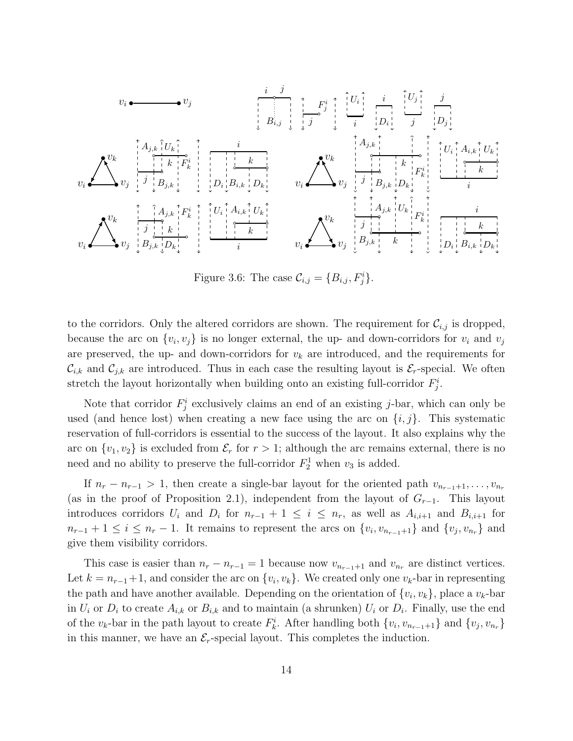

Figure 3.6: The case  $\mathcal{C}_{i,j} = \{B_{i,j}, F_j^i\}.$ 

to the corridors. Only the altered corridors are shown. The requirement for  $\mathcal{C}_{i,j}$  is dropped, because the arc on  $\{v_i, v_j\}$  is no longer external, the up- and down-corridors for  $v_i$  and  $v_j$ are preserved, the up- and down-corridors for  $v_k$  are introduced, and the requirements for  $\mathcal{C}_{i,k}$  and  $\mathcal{C}_{j,k}$  are introduced. Thus in each case the resulting layout is  $\mathcal{E}_r$ -special. We often stretch the layout horizontally when building onto an existing full-corridor  $F_j^i$ .

Note that corridor  $F_j^i$  exclusively claims an end of an existing j-bar, which can only be used (and hence lost) when creating a new face using the arc on  $\{i, j\}$ . This systematic reservation of full-corridors is essential to the success of the layout. It also explains why the arc on  $\{v_1, v_2\}$  is excluded from  $\mathcal{E}_r$  for  $r > 1$ ; although the arc remains external, there is no need and no ability to preserve the full-corridor  $F_2^1$  when  $v_3$  is added.

If  $n_r - n_{r-1} > 1$ , then create a single-bar layout for the oriented path  $v_{n_{r-1}+1}, \ldots, v_{n_r}$ (as in the proof of Proposition 2.1), independent from the layout of  $G_{r-1}$ . This layout introduces corridors  $U_i$  and  $D_i$  for  $n_{r-1} + 1 \leq i \leq n_r$ , as well as  $A_{i,i+1}$  and  $B_{i,i+1}$  for  $n_{r-1} + 1 \leq i \leq n_r - 1$ . It remains to represent the arcs on  $\{v_i, v_{n_{r-1}+1}\}\$  and  $\{v_j, v_{n_r}\}\$  and give them visibility corridors.

This case is easier than  $n_r - n_{r-1} = 1$  because now  $v_{n_{r-1}+1}$  and  $v_{n_r}$  are distinct vertices. Let  $k = n_{r-1}+1$ , and consider the arc on  $\{v_i, v_k\}$ . We created only one  $v_k$ -bar in representing the path and have another available. Depending on the orientation of  $\{v_i, v_k\}$ , place a  $v_k$ -bar in  $U_i$  or  $D_i$  to create  $A_{i,k}$  or  $B_{i,k}$  and to maintain (a shrunken)  $U_i$  or  $D_i$ . Finally, use the end of the  $v_k$ -bar in the path layout to create  $F_k^i$ . After handling both  $\{v_i, v_{n_{r-1}+1}\}$  and  $\{v_j, v_{n_r}\}$ in this manner, we have an  $\mathcal{E}_r$ -special layout. This completes the induction.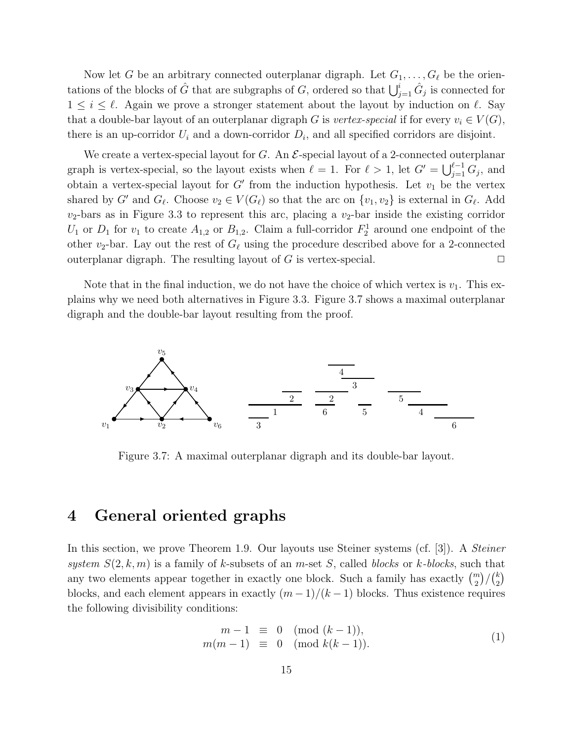Now let G be an arbitrary connected outerplanar digraph. Let  $G_1, \ldots, G_\ell$  be the orientations of the blocks of  $\hat{G}$  that are subgraphs of  $G$ , ordered so that  $\bigcup_{j=1}^{i} \hat{G}_j$  is connected for  $1 \leq i \leq \ell$ . Again we prove a stronger statement about the layout by induction on  $\ell$ . Say that a double-bar layout of an outerplanar digraph G is vertex-special if for every  $v_i \in V(G)$ , there is an up-corridor  $U_i$  and a down-corridor  $D_i$ , and all specified corridors are disjoint.

We create a vertex-special layout for G. An  $\mathcal{E}\text{-special layout of a 2-connected outerplanar}$ graph is vertex-special, so the layout exists when  $\ell = 1$ . For  $\ell > 1$ , let  $G' = \bigcup_{j=1}^{\ell-1} G_j$ , and obtain a vertex-special layout for  $G'$  from the induction hypothesis. Let  $v_1$  be the vertex shared by G' and  $G_{\ell}$ . Choose  $v_2 \in V(G_{\ell})$  so that the arc on  $\{v_1, v_2\}$  is external in  $G_{\ell}$ . Add  $v_2$ -bars as in Figure 3.3 to represent this arc, placing a  $v_2$ -bar inside the existing corridor  $U_1$  or  $D_1$  for  $v_1$  to create  $A_{1,2}$  or  $B_{1,2}$ . Claim a full-corridor  $F_2^1$  around one endpoint of the other  $v_2$ -bar. Lay out the rest of  $G_{\ell}$  using the procedure described above for a 2-connected outerplanar digraph. The resulting layout of  $G$  is vertex-special.  $\Box$ 

Note that in the final induction, we do not have the choice of which vertex is  $v_1$ . This explains why we need both alternatives in Figure 3.3. Figure 3.7 shows a maximal outerplanar digraph and the double-bar layout resulting from the proof.



Figure 3.7: A maximal outerplanar digraph and its double-bar layout.

### 4 General oriented graphs

In this section, we prove Theorem 1.9. Our layouts use Steiner systems (cf. [3]). A Steiner system  $S(2, k, m)$  is a family of k-subsets of an m-set S, called blocks or k-blocks, such that any two elements appear together in exactly one block. Such a family has exactly  $\binom{m}{2}/\binom{k}{2}$  $\binom{k}{2}$ blocks, and each element appears in exactly  $(m-1)/(k-1)$  blocks. Thus existence requires the following divisibility conditions:

$$
m-1 \equiv 0 \pmod{(k-1)},
$$
  
\n
$$
m(m-1) \equiv 0 \pmod{k(k-1)}.
$$
\n(1)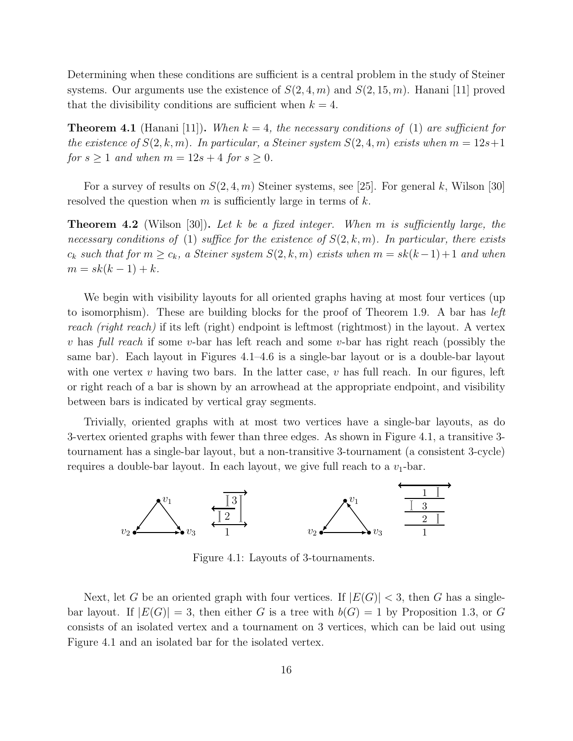Determining when these conditions are sufficient is a central problem in the study of Steiner systems. Our arguments use the existence of  $S(2, 4, m)$  and  $S(2, 15, m)$ . Hanani [11] proved that the divisibility conditions are sufficient when  $k = 4$ .

**Theorem 4.1** (Hanani [11]). When  $k = 4$ , the necessary conditions of (1) are sufficient for the existence of  $S(2,k,m)$ . In particular, a Steiner system  $S(2,4,m)$  exists when  $m = 12s+1$ for  $s \ge 1$  and when  $m = 12s + 4$  for  $s \ge 0$ .

For a survey of results on  $S(2, 4, m)$  Steiner systems, see [25]. For general k, Wilson [30] resolved the question when m is sufficiently large in terms of  $k$ .

**Theorem 4.2** (Wilson [30]). Let k be a fixed integer. When m is sufficiently large, the necessary conditions of (1) suffice for the existence of  $S(2,k,m)$ . In particular, there exists  $c_k$  such that for  $m \geq c_k$ , a Steiner system  $S(2, k, m)$  exists when  $m = sk(k-1)+1$  and when  $m = sk(k - 1) + k.$ 

We begin with visibility layouts for all oriented graphs having at most four vertices (up to isomorphism). These are building blocks for the proof of Theorem 1.9. A bar has *left* reach (right reach) if its left (right) endpoint is leftmost (rightmost) in the layout. A vertex v has full reach if some v-bar has left reach and some v-bar has right reach (possibly the same bar). Each layout in Figures 4.1–4.6 is a single-bar layout or is a double-bar layout with one vertex v having two bars. In the latter case, v has full reach. In our figures, left or right reach of a bar is shown by an arrowhead at the appropriate endpoint, and visibility between bars is indicated by vertical gray segments.

Trivially, oriented graphs with at most two vertices have a single-bar layouts, as do 3-vertex oriented graphs with fewer than three edges. As shown in Figure 4.1, a transitive 3 tournament has a single-bar layout, but a non-transitive 3-tournament (a consistent 3-cycle) requires a double-bar layout. In each layout, we give full reach to a  $v_1$ -bar.



Figure 4.1: Layouts of 3-tournaments.

Next, let G be an oriented graph with four vertices. If  $|E(G)| < 3$ , then G has a singlebar layout. If  $|E(G)| = 3$ , then either G is a tree with  $b(G) = 1$  by Proposition 1.3, or G consists of an isolated vertex and a tournament on 3 vertices, which can be laid out using Figure 4.1 and an isolated bar for the isolated vertex.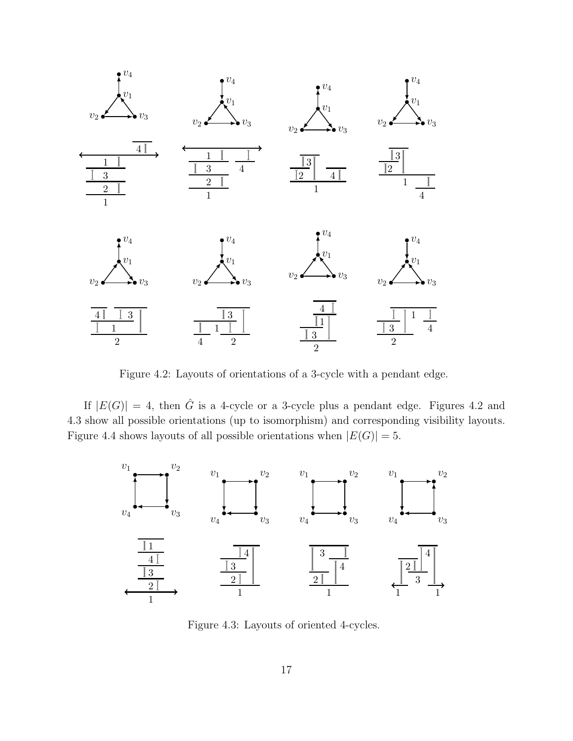

Figure 4.2: Layouts of orientations of a 3-cycle with a pendant edge.

If  $|E(G)| = 4$ , then  $\hat{G}$  is a 4-cycle or a 3-cycle plus a pendant edge. Figures 4.2 and 4.3 show all possible orientations (up to isomorphism) and corresponding visibility layouts. Figure 4.4 shows layouts of all possible orientations when  $|E(G)| = 5$ .



Figure 4.3: Layouts of oriented 4-cycles.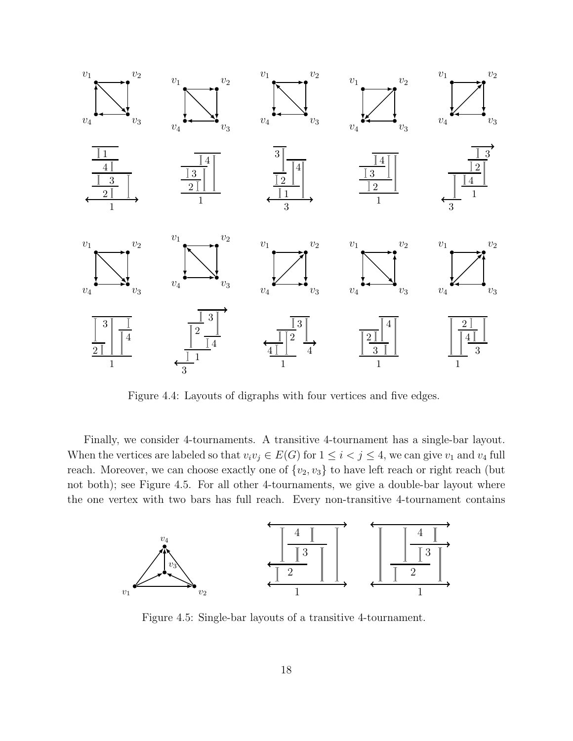

Figure 4.4: Layouts of digraphs with four vertices and five edges.

Finally, we consider 4-tournaments. A transitive 4-tournament has a single-bar layout. When the vertices are labeled so that  $v_i v_j \in E(G)$  for  $1 \leq i < j \leq 4$ , we can give  $v_1$  and  $v_4$  full reach. Moreover, we can choose exactly one of  $\{v_2,v_3\}$  to have left reach or right reach (but not both); see Figure 4.5. For all other 4-tournaments, we give a double-bar layout where the one vertex with two bars has full reach. Every non-transitive 4-tournament contains



Figure 4.5: Single-bar layouts of a transitive 4-tournament.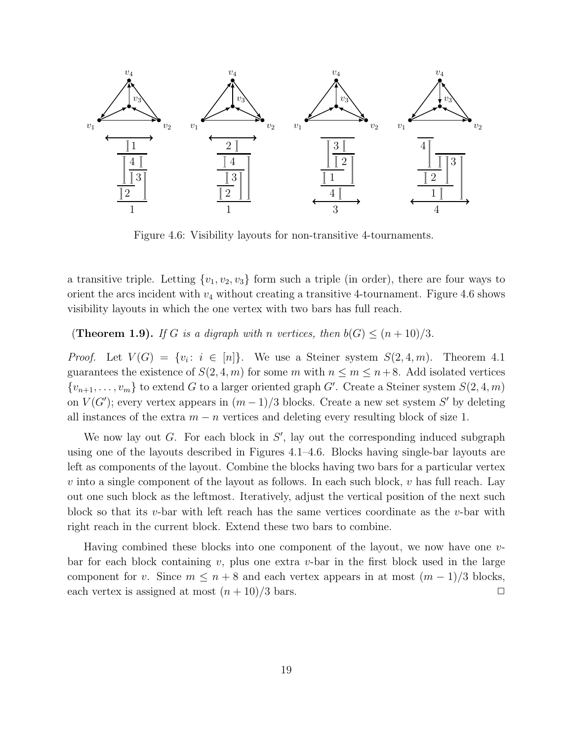

Figure 4.6: Visibility layouts for non-transitive 4-tournaments.

a transitive triple. Letting  $\{v_1,v_2,v_3\}$  form such a triple (in order), there are four ways to orient the arcs incident with  $v_4$  without creating a transitive 4-tournament. Figure 4.6 shows visibility layouts in which the one vertex with two bars has full reach.

(**Theorem 1.9).** If G is a digraph with n vertices, then  $b(G) \leq (n+10)/3$ .

*Proof.* Let  $V(G) = \{v_i : i \in [n]\}$ . We use a Steiner system  $S(2, 4, m)$ . Theorem 4.1 guarantees the existence of  $S(2, 4, m)$  for some m with  $n \le m \le n+8$ . Add isolated vertices  $\{v_{n+1},\ldots,v_m\}$  to extend G to a larger oriented graph G'. Create a Steiner system  $S(2,4,m)$ on  $V(G')$ ; every vertex appears in  $(m-1)/3$  blocks. Create a new set system S' by deleting all instances of the extra  $m - n$  vertices and deleting every resulting block of size 1.

We now lay out  $G$ . For each block in  $S'$ , lay out the corresponding induced subgraph using one of the layouts described in Figures 4.1–4.6. Blocks having single-bar layouts are left as components of the layout. Combine the blocks having two bars for a particular vertex  $v$  into a single component of the layout as follows. In each such block,  $v$  has full reach. Lay out one such block as the leftmost. Iteratively, adjust the vertical position of the next such block so that its v-bar with left reach has the same vertices coordinate as the v-bar with right reach in the current block. Extend these two bars to combine.

Having combined these blocks into one component of the layout, we now have one vbar for each block containing v, plus one extra v-bar in the first block used in the large component for v. Since  $m \leq n+8$  and each vertex appears in at most  $(m-1)/3$  blocks, each vertex is assigned at most  $(n+10)/3$  bars.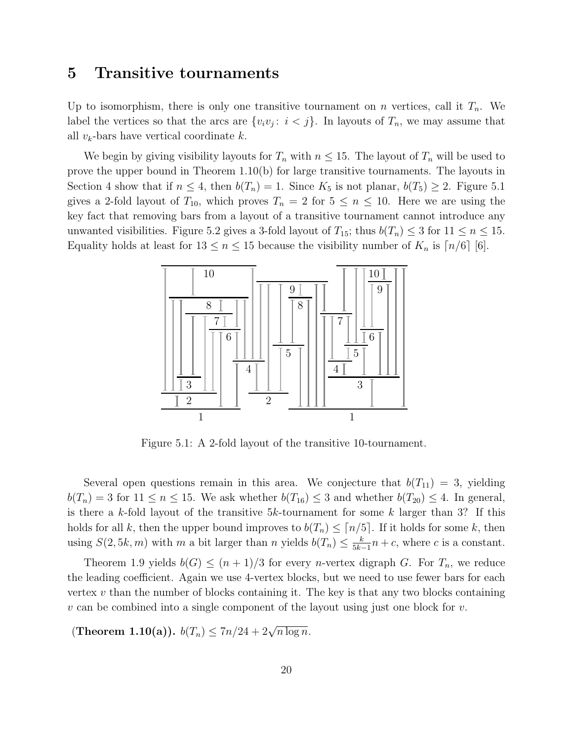#### 5 Transitive tournaments

Up to isomorphism, there is only one transitive tournament on n vertices, call it  $T_n$ . We label the vertices so that the arcs are  $\{v_i v_j : i < j\}$ . In layouts of  $T_n$ , we may assume that all  $v_k$ -bars have vertical coordinate  $k$ .

We begin by giving visibility layouts for  $T_n$  with  $n \leq 15$ . The layout of  $T_n$  will be used to prove the upper bound in Theorem 1.10(b) for large transitive tournaments. The layouts in Section 4 show that if  $n \leq 4$ , then  $b(T_n) = 1$ . Since  $K_5$  is not planar,  $b(T_5) \geq 2$ . Figure 5.1 gives a 2-fold layout of  $T_{10}$ , which proves  $T_n = 2$  for  $5 \le n \le 10$ . Here we are using the key fact that removing bars from a layout of a transitive tournament cannot introduce any unwanted visibilities. Figure 5.2 gives a 3-fold layout of  $T_{15}$ ; thus  $b(T_n) \leq 3$  for  $11 \leq n \leq 15$ . Equality holds at least for  $13 \le n \le 15$  because the visibility number of  $K_n$  is  $\lceil n/6 \rceil$  [6].



Figure 5.1: A 2-fold layout of the transitive 10-tournament.

Several open questions remain in this area. We conjecture that  $b(T_{11}) = 3$ , yielding  $b(T_n) = 3$  for  $11 \le n \le 15$ . We ask whether  $b(T_{16}) \le 3$  and whether  $b(T_{20}) \le 4$ . In general, is there a k-fold layout of the transitive  $5k$ -tournament for some k larger than 3? If this holds for all k, then the upper bound improves to  $b(T_n) \leq \lceil n/5 \rceil$ . If it holds for some k, then using  $S(2, 5k, m)$  with m a bit larger than n yields  $b(T_n) \leq \frac{k}{5k^2}$  $\frac{k}{5k-1}n + c$ , where c is a constant.

Theorem 1.9 yields  $b(G) \leq (n+1)/3$  for every *n*-vertex digraph G. For  $T_n$ , we reduce the leading coefficient. Again we use 4-vertex blocks, but we need to use fewer bars for each vertex  $v$  than the number of blocks containing it. The key is that any two blocks containing  $v$  can be combined into a single component of the layout using just one block for  $v$ .

(Theorem 1.10(a)).  $b(T_n) \leq 7n/24 + 2\sqrt{n \log n}$ .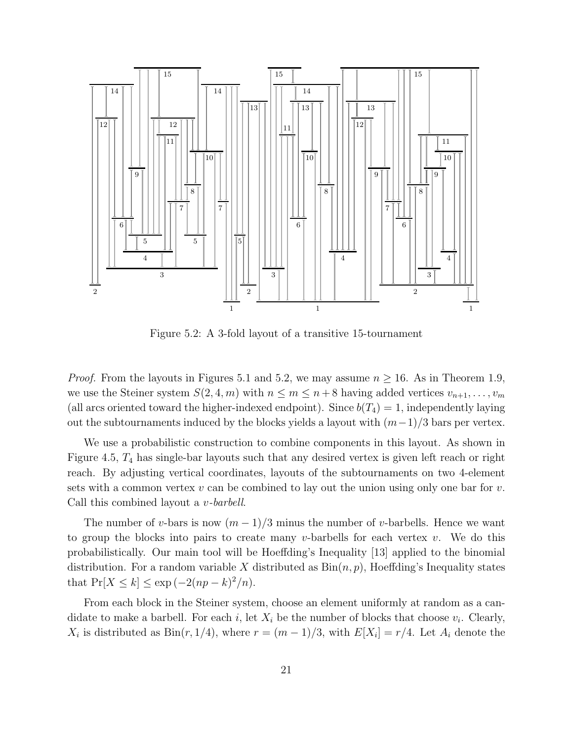

Figure 5.2: A 3-fold layout of a transitive 15-tournament

*Proof.* From the layouts in Figures 5.1 and 5.2, we may assume  $n \ge 16$ . As in Theorem 1.9, we use the Steiner system  $S(2, 4, m)$  with  $n \leq m \leq n+8$  having added vertices  $v_{n+1}, \ldots, v_m$ (all arcs oriented toward the higher-indexed endpoint). Since  $b(T_4) = 1$ , independently laying out the subtournaments induced by the blocks yields a layout with  $(m-1)/3$  bars per vertex.

We use a probabilistic construction to combine components in this layout. As shown in Figure 4.5,  $T_4$  has single-bar layouts such that any desired vertex is given left reach or right reach. By adjusting vertical coordinates, layouts of the subtournaments on two 4-element sets with a common vertex  $v$  can be combined to lay out the union using only one bar for  $v$ . Call this combined layout a v-barbell.

The number of v-bars is now  $(m-1)/3$  minus the number of v-barbells. Hence we want to group the blocks into pairs to create many v-barbells for each vertex v. We do this probabilistically. Our main tool will be Hoeffding's Inequality [13] applied to the binomial distribution. For a random variable X distributed as  $Bin(n, p)$ , Hoeffding's Inequality states that  $Pr[X \le k] \le \exp(-2(np - k)^2/n)$ .

From each block in the Steiner system, choose an element uniformly at random as a candidate to make a barbell. For each *i*, let  $X_i$  be the number of blocks that choose  $v_i$ . Clearly,  $X_i$  is distributed as  $\text{Bin}(r, 1/4)$ , where  $r = (m-1)/3$ , with  $E[X_i] = r/4$ . Let  $A_i$  denote the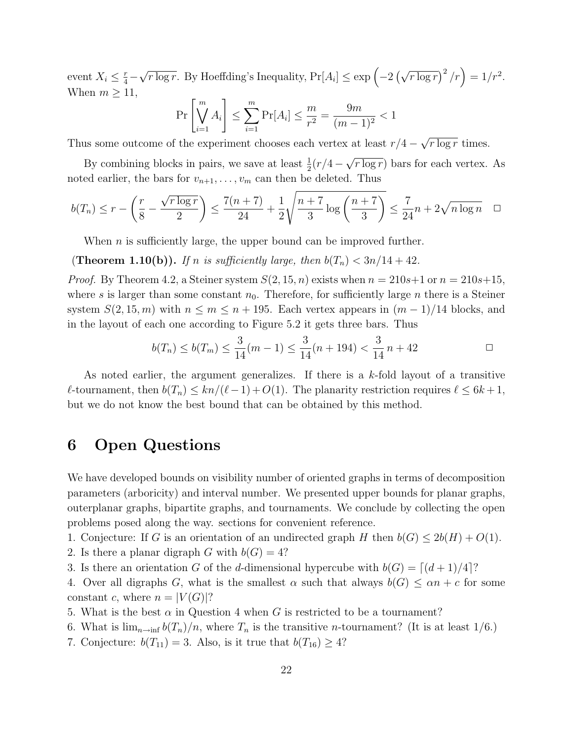event  $X_i \leq \frac{r}{4}$  –  $\sqrt{r \log r}$ . By Hoeffding's Inequality,  $Pr[A_i] \leq \exp\left(-2\left(\sqrt{r \log r}\right)^2/r\right) = 1/r^2$ . When  $m \geq 11$ ,

$$
\Pr\left[\bigvee_{i=1}^{m} A_i\right] \le \sum_{i=1}^{m} \Pr[A_i] \le \frac{m}{r^2} = \frac{9m}{(m-1)^2} < 1
$$

Thus some outcome of the experiment chooses each vertex at least  $r/4 - \sqrt{r \log r}$  times.

By combining blocks in pairs, we save at least  $\frac{1}{2}(r/4 - \sqrt{r \log r})$  bars for each vertex. As noted earlier, the bars for  $v_{n+1}, \ldots, v_m$  can then be deleted. Thus

$$
b(T_n) \le r - \left(\frac{r}{8} - \frac{\sqrt{r \log r}}{2}\right) \le \frac{7(n+7)}{24} + \frac{1}{2} \sqrt{\frac{n+7}{3} \log\left(\frac{n+7}{3}\right)} \le \frac{7}{24}n + 2\sqrt{n \log n} \quad \Box
$$

When  $n$  is sufficiently large, the upper bound can be improved further.

(Theorem 1.10(b)). If n is sufficiently large, then  $b(T_n) < 3n/14 + 42$ .

*Proof.* By Theorem 4.2, a Steiner system  $S(2, 15, n)$  exists when  $n = 210s+1$  or  $n = 210s+15$ , where s is larger than some constant  $n_0$ . Therefore, for sufficiently large n there is a Steiner system  $S(2, 15, m)$  with  $n \leq m \leq n + 195$ . Each vertex appears in  $(m-1)/14$  blocks, and in the layout of each one according to Figure 5.2 it gets three bars. Thus

$$
b(T_n) \le b(T_m) \le \frac{3}{14}(m-1) \le \frac{3}{14}(n+194) < \frac{3}{14}n+42 \qquad \qquad \Box
$$

As noted earlier, the argument generalizes. If there is a k-fold layout of a transitive  $\ell$ -tournament, then  $b(T_n)$  ≤  $kn/(\ell-1) + O(1)$ . The planarity restriction requires  $\ell$  ≤ 6k + 1, but we do not know the best bound that can be obtained by this method.

#### 6 Open Questions

We have developed bounds on visibility number of oriented graphs in terms of decomposition parameters (arboricity) and interval number. We presented upper bounds for planar graphs, outerplanar graphs, bipartite graphs, and tournaments. We conclude by collecting the open problems posed along the way. sections for convenient reference.

1. Conjecture: If G is an orientation of an undirected graph H then  $b(G) \leq 2b(H) + O(1)$ .

- 2. Is there a planar digraph G with  $b(G) = 4$ ?
- 3. Is there an orientation G of the d-dimensional hypercube with  $b(G) = \lfloor (d+1)/4 \rfloor$ ?

4. Over all digraphs G, what is the smallest  $\alpha$  such that always  $b(G) \leq \alpha n + c$  for some constant c, where  $n = |V(G)|$ ?

- 5. What is the best  $\alpha$  in Question 4 when G is restricted to be a tournament?
- 6. What is  $\lim_{n\to\infty} b(T_n)/n$ , where  $T_n$  is the transitive *n*-tournament? (It is at least 1/6.)
- 7. Conjecture:  $b(T_{11}) = 3$ . Also, is it true that  $b(T_{16}) \geq 4$ ?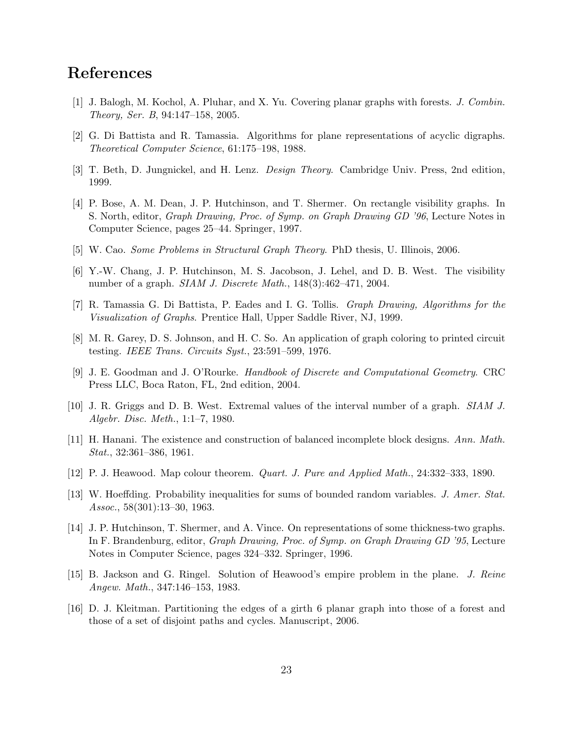## References

- [1] J. Balogh, M. Kochol, A. Pluhar, and X. Yu. Covering planar graphs with forests. J. Combin. Theory, Ser. B, 94:147–158, 2005.
- [2] G. Di Battista and R. Tamassia. Algorithms for plane representations of acyclic digraphs. Theoretical Computer Science, 61:175–198, 1988.
- [3] T. Beth, D. Jungnickel, and H. Lenz. Design Theory. Cambridge Univ. Press, 2nd edition, 1999.
- [4] P. Bose, A. M. Dean, J. P. Hutchinson, and T. Shermer. On rectangle visibility graphs. In S. North, editor, Graph Drawing, Proc. of Symp. on Graph Drawing GD '96, Lecture Notes in Computer Science, pages 25–44. Springer, 1997.
- [5] W. Cao. Some Problems in Structural Graph Theory. PhD thesis, U. Illinois, 2006.
- [6] Y.-W. Chang, J. P. Hutchinson, M. S. Jacobson, J. Lehel, and D. B. West. The visibility number of a graph. SIAM J. Discrete Math., 148(3):462–471, 2004.
- [7] R. Tamassia G. Di Battista, P. Eades and I. G. Tollis. Graph Drawing, Algorithms for the Visualization of Graphs. Prentice Hall, Upper Saddle River, NJ, 1999.
- [8] M. R. Garey, D. S. Johnson, and H. C. So. An application of graph coloring to printed circuit testing. IEEE Trans. Circuits Syst., 23:591–599, 1976.
- [9] J. E. Goodman and J. O'Rourke. Handbook of Discrete and Computational Geometry. CRC Press LLC, Boca Raton, FL, 2nd edition, 2004.
- [10] J. R. Griggs and D. B. West. Extremal values of the interval number of a graph. SIAM J. Algebr. Disc. Meth., 1:1–7, 1980.
- [11] H. Hanani. The existence and construction of balanced incomplete block designs. Ann. Math. Stat., 32:361–386, 1961.
- [12] P. J. Heawood. Map colour theorem. Quart. J. Pure and Applied Math., 24:332–333, 1890.
- [13] W. Hoeffding. Probability inequalities for sums of bounded random variables. J. Amer. Stat. Assoc., 58(301):13–30, 1963.
- [14] J. P. Hutchinson, T. Shermer, and A. Vince. On representations of some thickness-two graphs. In F. Brandenburg, editor, Graph Drawing, Proc. of Symp. on Graph Drawing GD '95, Lecture Notes in Computer Science, pages 324–332. Springer, 1996.
- [15] B. Jackson and G. Ringel. Solution of Heawood's empire problem in the plane. J. Reine Angew. Math., 347:146–153, 1983.
- [16] D. J. Kleitman. Partitioning the edges of a girth 6 planar graph into those of a forest and those of a set of disjoint paths and cycles. Manuscript, 2006.